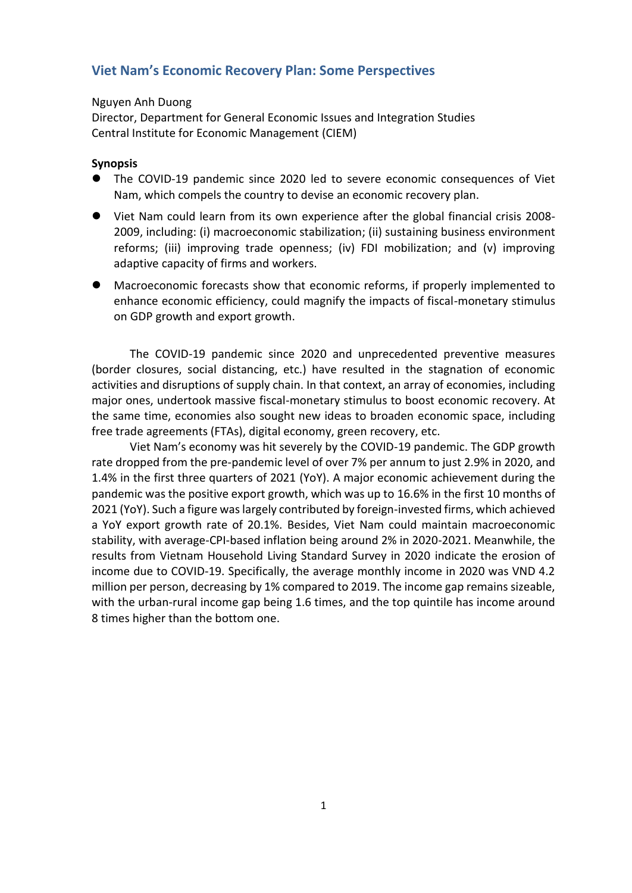## **Viet Nam's Economic Recovery Plan: Some Perspectives**

## Nguyen Anh Duong

Director, Department for General Economic Issues and Integration Studies Central Institute for Economic Management (CIEM)

## **Synopsis**

- ⚫ The COVID-19 pandemic since 2020 led to severe economic consequences of Viet Nam, which compels the country to devise an economic recovery plan.
- Viet Nam could learn from its own experience after the global financial crisis 2008-2009, including: (i) macroeconomic stabilization; (ii) sustaining business environment reforms; (iii) improving trade openness; (iv) FDI mobilization; and (v) improving adaptive capacity of firms and workers.
- ⚫ Macroeconomic forecasts show that economic reforms, if properly implemented to enhance economic efficiency, could magnify the impacts of fiscal-monetary stimulus on GDP growth and export growth.

The COVID-19 pandemic since 2020 and unprecedented preventive measures (border closures, social distancing, etc.) have resulted in the stagnation of economic activities and disruptions of supply chain. In that context, an array of economies, including major ones, undertook massive fiscal-monetary stimulus to boost economic recovery. At the same time, economies also sought new ideas to broaden economic space, including free trade agreements (FTAs), digital economy, green recovery, etc.

Viet Nam's economy was hit severely by the COVID-19 pandemic. The GDP growth rate dropped from the pre-pandemic level of over 7% per annum to just 2.9% in 2020, and 1.4% in the first three quarters of 2021 (YoY). A major economic achievement during the pandemic was the positive export growth, which was up to 16.6% in the first 10 months of 2021 (YoY). Such a figure was largely contributed by foreign-invested firms, which achieved a YoY export growth rate of 20.1%. Besides, Viet Nam could maintain macroeconomic stability, with average-CPI-based inflation being around 2% in 2020-2021. Meanwhile, the results from Vietnam Household Living Standard Survey in 2020 indicate the erosion of income due to COVID-19. Specifically, the average monthly income in 2020 was VND 4.2 million per person, decreasing by 1% compared to 2019. The income gap remains sizeable, with the urban-rural income gap being 1.6 times, and the top quintile has income around 8 times higher than the bottom one.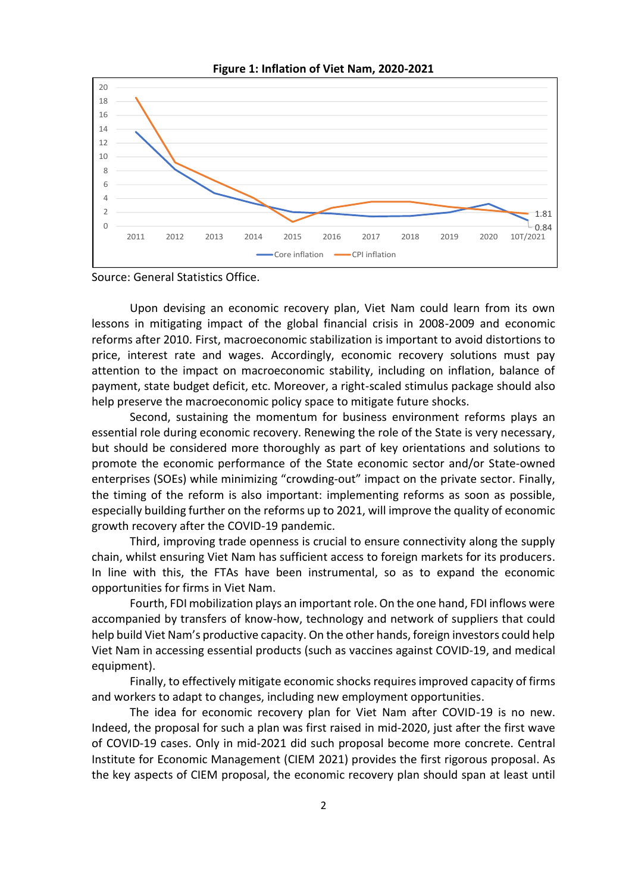

**Figure 1: Inflation of Viet Nam, 2020-2021**

Source: General Statistics Office.

Upon devising an economic recovery plan, Viet Nam could learn from its own lessons in mitigating impact of the global financial crisis in 2008-2009 and economic reforms after 2010. First, macroeconomic stabilization is important to avoid distortions to price, interest rate and wages. Accordingly, economic recovery solutions must pay attention to the impact on macroeconomic stability, including on inflation, balance of payment, state budget deficit, etc. Moreover, a right-scaled stimulus package should also help preserve the macroeconomic policy space to mitigate future shocks.

Second, sustaining the momentum for business environment reforms plays an essential role during economic recovery. Renewing the role of the State is very necessary, but should be considered more thoroughly as part of key orientations and solutions to promote the economic performance of the State economic sector and/or State-owned enterprises (SOEs) while minimizing "crowding-out" impact on the private sector. Finally, the timing of the reform is also important: implementing reforms as soon as possible, especially building further on the reforms up to 2021, will improve the quality of economic growth recovery after the COVID-19 pandemic.

Third, improving trade openness is crucial to ensure connectivity along the supply chain, whilst ensuring Viet Nam has sufficient access to foreign markets for its producers. In line with this, the FTAs have been instrumental, so as to expand the economic opportunities for firms in Viet Nam.

Fourth, FDI mobilization plays an important role. On the one hand, FDI inflows were accompanied by transfers of know-how, technology and network of suppliers that could help build Viet Nam's productive capacity. On the other hands, foreign investors could help Viet Nam in accessing essential products (such as vaccines against COVID-19, and medical equipment).

Finally, to effectively mitigate economic shocks requires improved capacity of firms and workers to adapt to changes, including new employment opportunities.

The idea for economic recovery plan for Viet Nam after COVID-19 is no new. Indeed, the proposal for such a plan was first raised in mid-2020, just after the first wave of COVID-19 cases. Only in mid-2021 did such proposal become more concrete. Central Institute for Economic Management (CIEM 2021) provides the first rigorous proposal. As the key aspects of CIEM proposal, the economic recovery plan should span at least until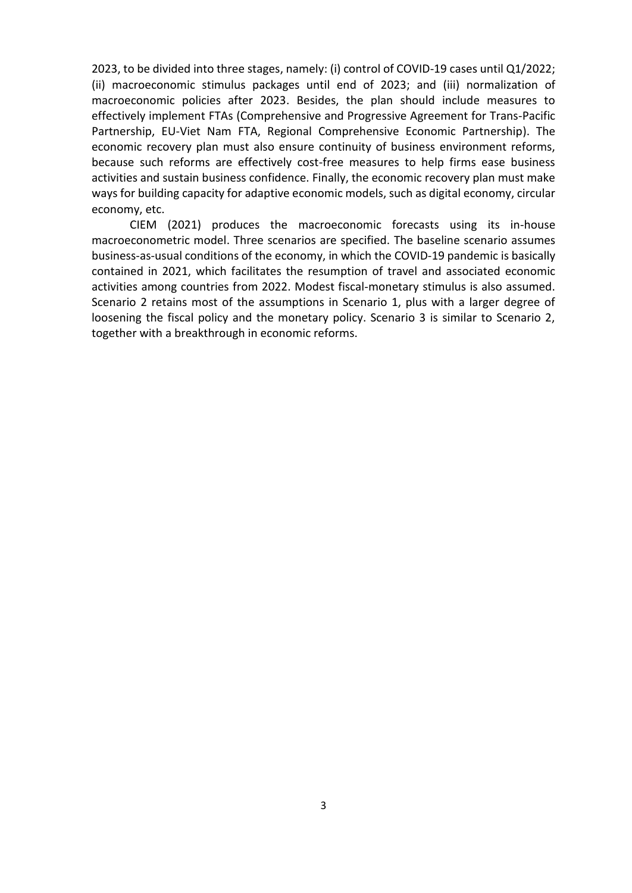2023, to be divided into three stages, namely: (i) control of COVID-19 cases until Q1/2022; (ii) macroeconomic stimulus packages until end of 2023; and (iii) normalization of macroeconomic policies after 2023. Besides, the plan should include measures to effectively implement FTAs (Comprehensive and Progressive Agreement for Trans-Pacific Partnership, EU-Viet Nam FTA, Regional Comprehensive Economic Partnership). The economic recovery plan must also ensure continuity of business environment reforms, because such reforms are effectively cost-free measures to help firms ease business activities and sustain business confidence. Finally, the economic recovery plan must make ways for building capacity for adaptive economic models, such as digital economy, circular economy, etc.

CIEM (2021) produces the macroeconomic forecasts using its in-house macroeconometric model. Three scenarios are specified. The baseline scenario assumes business-as-usual conditions of the economy, in which the COVID-19 pandemic is basically contained in 2021, which facilitates the resumption of travel and associated economic activities among countries from 2022. Modest fiscal-monetary stimulus is also assumed. Scenario 2 retains most of the assumptions in Scenario 1, plus with a larger degree of loosening the fiscal policy and the monetary policy. Scenario 3 is similar to Scenario 2, together with a breakthrough in economic reforms.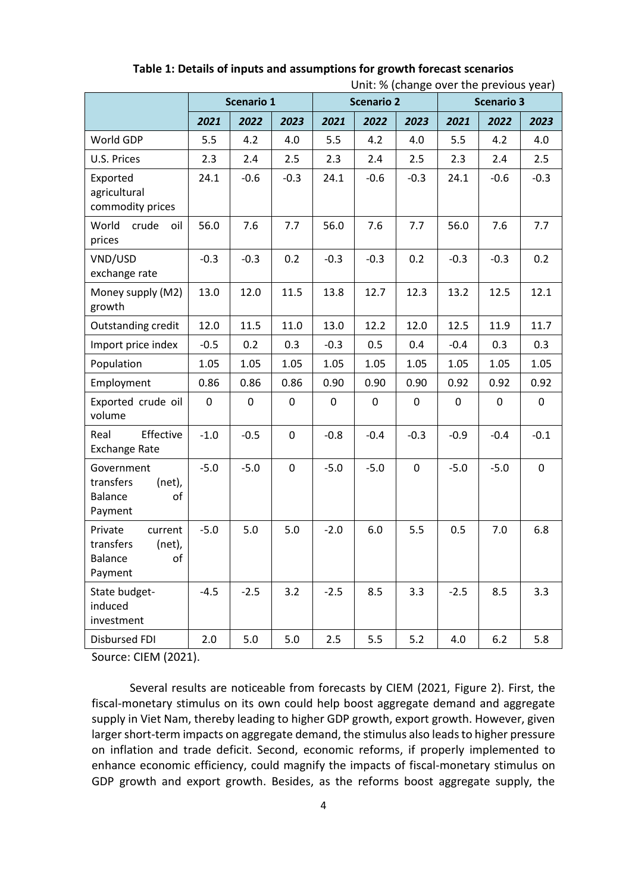|                                                                              | Scenario 1 |        |                  | סיי--י-י-י-י-<br><b>Scenario 2</b> |             |             | <b>Scenario 3</b> |             |             |
|------------------------------------------------------------------------------|------------|--------|------------------|------------------------------------|-------------|-------------|-------------------|-------------|-------------|
|                                                                              | 2021       | 2022   | 2023             | 2021                               | 2022        | 2023        | 2021              | 2022        | 2023        |
| World GDP                                                                    | 5.5        | 4.2    | 4.0              | 5.5                                | 4.2         | 4.0         | 5.5               | 4.2         | 4.0         |
| U.S. Prices                                                                  | 2.3        | 2.4    | 2.5              | 2.3                                | 2.4         | 2.5         | 2.3               | 2.4         | 2.5         |
| Exported<br>agricultural<br>commodity prices                                 | 24.1       | $-0.6$ | $-0.3$           | 24.1                               | $-0.6$      | $-0.3$      | 24.1              | $-0.6$      | $-0.3$      |
| World<br>crude<br>oil<br>prices                                              | 56.0       | 7.6    | 7.7              | 56.0                               | 7.6         | 7.7         | 56.0              | 7.6         | 7.7         |
| VND/USD<br>exchange rate                                                     | $-0.3$     | $-0.3$ | 0.2              | $-0.3$                             | $-0.3$      | 0.2         | $-0.3$            | $-0.3$      | 0.2         |
| Money supply (M2)<br>growth                                                  | 13.0       | 12.0   | 11.5             | 13.8                               | 12.7        | 12.3        | 13.2              | 12.5        | 12.1        |
| Outstanding credit                                                           | 12.0       | 11.5   | 11.0             | 13.0                               | 12.2        | 12.0        | 12.5              | 11.9        | 11.7        |
| Import price index                                                           | $-0.5$     | 0.2    | 0.3              | $-0.3$                             | 0.5         | 0.4         | $-0.4$            | 0.3         | 0.3         |
| Population                                                                   | 1.05       | 1.05   | 1.05             | 1.05                               | 1.05        | 1.05        | 1.05              | 1.05        | 1.05        |
| Employment                                                                   | 0.86       | 0.86   | 0.86             | 0.90                               | 0.90        | 0.90        | 0.92              | 0.92        | 0.92        |
| Exported crude oil<br>volume                                                 | 0          | 0      | $\boldsymbol{0}$ | $\mathbf 0$                        | $\mathbf 0$ | 0           | $\mathbf 0$       | $\mathbf 0$ | $\mathbf 0$ |
| Effective<br>Real<br><b>Exchange Rate</b>                                    | $-1.0$     | $-0.5$ | $\mathbf 0$      | $-0.8$                             | $-0.4$      | $-0.3$      | $-0.9$            | $-0.4$      | $-0.1$      |
| Government<br>transfers<br>(net),<br><b>Balance</b><br>of<br>Payment         | $-5.0$     | $-5.0$ | $\boldsymbol{0}$ | $-5.0$                             | $-5.0$      | $\mathbf 0$ | $-5.0$            | $-5.0$      | $\mathbf 0$ |
| Private<br>current<br>transfers<br>(net),<br>of<br><b>Balance</b><br>Payment | $-5.0$     | 5.0    | 5.0              | $-2.0$                             | 6.0         | 5.5         | 0.5               | 7.0         | 6.8         |
| State budget-<br>induced<br>investment                                       | $-4.5$     | $-2.5$ | 3.2              | $-2.5$                             | 8.5         | 3.3         | $-2.5$            | 8.5         | 3.3         |
| <b>Disbursed FDI</b>                                                         | 2.0        | 5.0    | 5.0              | 2.5                                | 5.5         | 5.2         | 4.0               | 6.2         | 5.8         |

**Table 1: Details of inputs and assumptions for growth forecast scenarios** Unit: % (change over the previous year)

Source: CIEM (2021).

Several results are noticeable from forecasts by CIEM (2021, Figure 2). First, the fiscal-monetary stimulus on its own could help boost aggregate demand and aggregate supply in Viet Nam, thereby leading to higher GDP growth, export growth. However, given larger short-term impacts on aggregate demand, the stimulus also leads to higher pressure on inflation and trade deficit. Second, economic reforms, if properly implemented to enhance economic efficiency, could magnify the impacts of fiscal-monetary stimulus on GDP growth and export growth. Besides, as the reforms boost aggregate supply, the